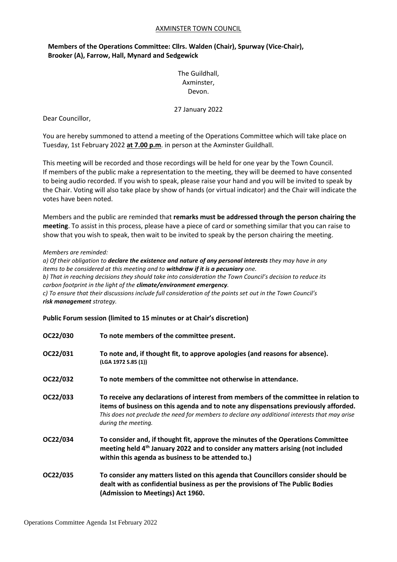#### AXMINSTER TOWN COUNCIL

#### **Members of the Operations Committee: Cllrs. Walden (Chair), Spurway (Vice-Chair), Brooker (A), Farrow, Hall, Mynard and Sedgewick**

#### The Guildhall, Axminster, Devon.

27 January 2022

Dear Councillor,

You are hereby summoned to attend a meeting of the Operations Committee which will take place on Tuesday, 1st February 2022 **at 7.00 p.m**. in person at the Axminster Guildhall.

This meeting will be recorded and those recordings will be held for one year by the Town Council. If members of the public make a representation to the meeting, they will be deemed to have consented to being audio recorded. If you wish to speak, please raise your hand and you will be invited to speak by the Chair. Voting will also take place by show of hands (or virtual indicator) and the Chair will indicate the votes have been noted.

Members and the public are reminded that **remarks must be addressed through the person chairing the meeting**. To assist in this process, please have a piece of card or something similar that you can raise to show that you wish to speak, then wait to be invited to speak by the person chairing the meeting.

#### *Members are reminded:*

*a) Of their obligation to declare the existence and nature of any personal interests they may have in any items to be considered at this meeting and to withdraw if it is a pecuniary one. b) That in reaching decisions they should take into consideration the Town Council's decision to reduce its carbon footprint in the light of the climate/environment emergency. c) To ensure that their discussions include full consideration of the points set out in the Town Council's risk management strategy.*

#### **Public Forum session (limited to 15 minutes or at Chair's discretion)**

| OC22/030 | To note members of the committee present.                                                                                                                                                                                                                                                            |
|----------|------------------------------------------------------------------------------------------------------------------------------------------------------------------------------------------------------------------------------------------------------------------------------------------------------|
| OC22/031 | To note and, if thought fit, to approve apologies (and reasons for absence).<br>(LGA 1972 S.85 (1))                                                                                                                                                                                                  |
| OC22/032 | To note members of the committee not otherwise in attendance.                                                                                                                                                                                                                                        |
| OC22/033 | To receive any declarations of interest from members of the committee in relation to<br>items of business on this agenda and to note any dispensations previously afforded.<br>This does not preclude the need for members to declare any additional interests that may arise<br>during the meeting. |
| OC22/034 | To consider and, if thought fit, approve the minutes of the Operations Committee<br>meeting held 4 <sup>th</sup> January 2022 and to consider any matters arising (not included<br>within this agenda as business to be attended to.)                                                                |
| OC22/035 | To consider any matters listed on this agenda that Councillors consider should be<br>dealt with as confidential business as per the provisions of The Public Bodies<br>(Admission to Meetings) Act 1960.                                                                                             |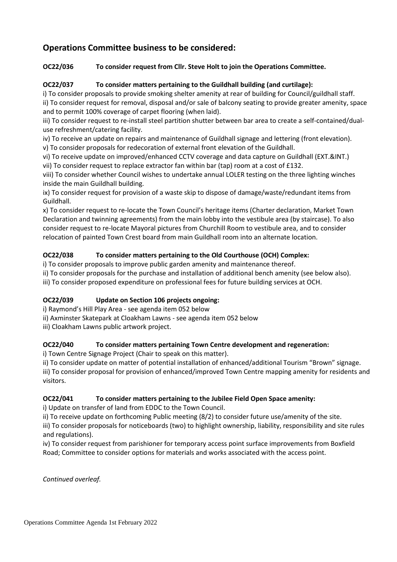# **Operations Committee business to be considered:**

## **OC22/036 To consider request from Cllr. Steve Holt to join the Operations Committee.**

## **OC22/037 To consider matters pertaining to the Guildhall building (and curtilage):**

i) To consider proposals to provide smoking shelter amenity at rear of building for Council/guildhall staff.

ii) To consider request for removal, disposal and/or sale of balcony seating to provide greater amenity, space and to permit 100% coverage of carpet flooring (when laid).

iii) To consider request to re-install steel partition shutter between bar area to create a self-contained/dualuse refreshment/catering facility.

iv) To receive an update on repairs and maintenance of Guildhall signage and lettering (front elevation). v) To consider proposals for redecoration of external front elevation of the Guildhall.

vi) To receive update on improved/enhanced CCTV coverage and data capture on Guildhall (EXT.&INT.) vii) To consider request to replace extractor fan within bar (tap) room at a cost of £132.

viii) To consider whether Council wishes to undertake annual LOLER testing on the three lighting winches inside the main Guildhall building.

ix) To consider request for provision of a waste skip to dispose of damage/waste/redundant items from Guildhall.

x) To consider request to re-locate the Town Council's heritage items (Charter declaration, Market Town Declaration and twinning agreements) from the main lobby into the vestibule area (by staircase). To also consider request to re-locate Mayoral pictures from Churchill Room to vestibule area, and to consider relocation of painted Town Crest board from main Guildhall room into an alternate location.

# **OC22/038 To consider matters pertaining to the Old Courthouse (OCH) Complex:**

i) To consider proposals to improve public garden amenity and maintenance thereof.

ii) To consider proposals for the purchase and installation of additional bench amenity (see below also).

iii) To consider proposed expenditure on professional fees for future building services at OCH.

# **OC22/039 Update on Section 106 projects ongoing:**

i) Raymond's Hill Play Area - see agenda item 052 below

ii) Axminster Skatepark at Cloakham Lawns - see agenda item 052 below

iii) Cloakham Lawns public artwork project.

# **OC22/040 To consider matters pertaining Town Centre development and regeneration:**

i) Town Centre Signage Project (Chair to speak on this matter).

ii) To consider update on matter of potential installation of enhanced/additional Tourism "Brown" signage. iii) To consider proposal for provision of enhanced/improved Town Centre mapping amenity for residents and visitors.

# **OC22/041 To consider matters pertaining to the Jubilee Field Open Space amenity:**

i) Update on transfer of land from EDDC to the Town Council.

ii) To receive update on forthcoming Public meeting (8/2) to consider future use/amenity of the site.

iii) To consider proposals for noticeboards (two) to highlight ownership, liability, responsibility and site rules and regulations).

iv) To consider request from parishioner for temporary access point surface improvements from Boxfield Road; Committee to consider options for materials and works associated with the access point.

*Continued overleaf.*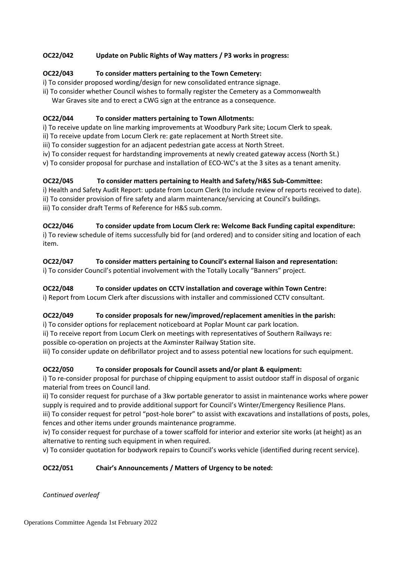## **OC22/042 Update on Public Rights of Way matters / P3 works in progress:**

## **OC22/043 To consider matters pertaining to the Town Cemetery:**

- i) To consider proposed wording/design for new consolidated entrance signage.
- ii) To consider whether Council wishes to formally register the Cemetery as a Commonwealth
	- War Graves site and to erect a CWG sign at the entrance as a consequence.

## **OC22/044 To consider matters pertaining to Town Allotments:**

- i) To receive update on line marking improvements at Woodbury Park site; Locum Clerk to speak.
- ii) To receive update from Locum Clerk re: gate replacement at North Street site.
- iii) To consider suggestion for an adjacent pedestrian gate access at North Street.
- iv) To consider request for hardstanding improvements at newly created gateway access (North St.)
- v) To consider proposal for purchase and installation of ECO-WC's at the 3 sites as a tenant amenity.

# **OC22/045 To consider matters pertaining to Health and Safety/H&S Sub-Committee:**

i) Health and Safety Audit Report: update from Locum Clerk (to include review of reports received to date). ii) To consider provision of fire safety and alarm maintenance/servicing at Council's buildings.

iii) To consider draft Terms of Reference for H&S sub.comm.

# **OC22/046 To consider update from Locum Clerk re: Welcome Back Funding capital expenditure:**

i) To review schedule of items successfully bid for (and ordered) and to consider siting and location of each item.

# **OC22/047 To consider matters pertaining to Council's external liaison and representation:**

i) To consider Council's potential involvement with the Totally Locally "Banners" project.

# **OC22/048 To consider updates on CCTV installation and coverage within Town Centre:**

i) Report from Locum Clerk after discussions with installer and commissioned CCTV consultant.

# **OC22/049 To consider proposals for new/improved/replacement amenities in the parish:**

i) To consider options for replacement noticeboard at Poplar Mount car park location.

ii) To receive report from Locum Clerk on meetings with representatives of Southern Railways re: possible co-operation on projects at the Axminster Railway Station site.

iii) To consider update on defibrillator project and to assess potential new locations for such equipment.

# **OC22/050 To consider proposals for Council assets and/or plant & equipment:**

i) To re-consider proposal for purchase of chipping equipment to assist outdoor staff in disposal of organic material from trees on Council land.

ii) To consider request for purchase of a 3kw portable generator to assist in maintenance works where power supply is required and to provide additional support for Council's Winter/Emergency Resilience Plans.

iii) To consider request for petrol "post-hole borer" to assist with excavations and installations of posts, poles, fences and other items under grounds maintenance programme.

iv) To consider request for purchase of a tower scaffold for interior and exterior site works (at height) as an alternative to renting such equipment in when required.

v) To consider quotation for bodywork repairs to Council's works vehicle (identified during recent service).

# **OC22/051 Chair's Announcements / Matters of Urgency to be noted:**

*Continued overleaf*